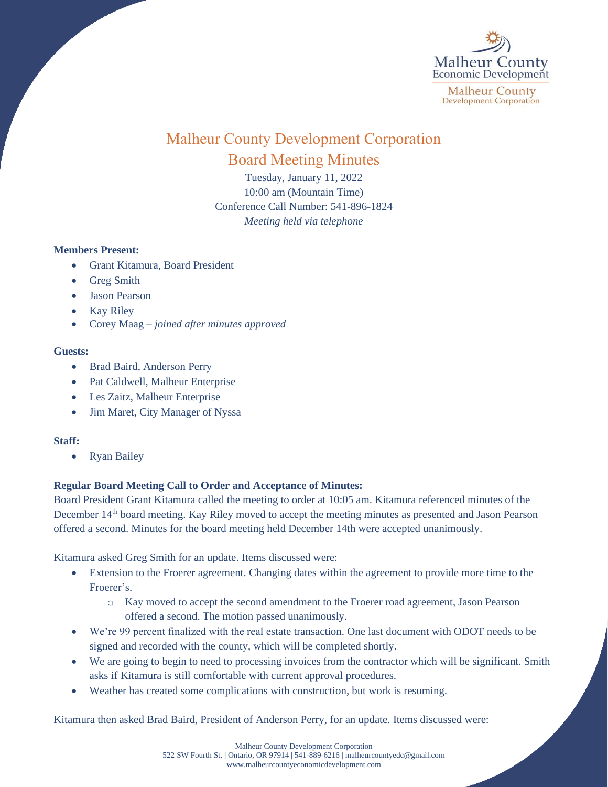

# Malheur County Development Corporation Board Meeting Minutes

Tuesday, January 11, 2022 10:00 am (Mountain Time) Conference Call Number: 541-896-1824 *Meeting held via telephone*

## **Members Present:**

- Grant Kitamura, Board President
- Greg Smith
- Jason Pearson
- **Kay Riley**
- Corey Maag *joined after minutes approved*

## **Guests:**

- Brad Baird, Anderson Perry
- Pat Caldwell, Malheur Enterprise
- Les Zaitz, Malheur Enterprise
- Jim Maret, City Manager of Nyssa

## **Staff:**

• Ryan Bailey

## **Regular Board Meeting Call to Order and Acceptance of Minutes:**

Board President Grant Kitamura called the meeting to order at 10:05 am. Kitamura referenced minutes of the December 14<sup>th</sup> board meeting. Kay Riley moved to accept the meeting minutes as presented and Jason Pearson offered a second. Minutes for the board meeting held December 14th were accepted unanimously.

Kitamura asked Greg Smith for an update. Items discussed were:

- Extension to the Froerer agreement. Changing dates within the agreement to provide more time to the Froerer's.
	- o Kay moved to accept the second amendment to the Froerer road agreement, Jason Pearson offered a second. The motion passed unanimously.
- We're 99 percent finalized with the real estate transaction. One last document with ODOT needs to be signed and recorded with the county, which will be completed shortly.
- We are going to begin to need to processing invoices from the contractor which will be significant. Smith asks if Kitamura is still comfortable with current approval procedures.
- Weather has created some complications with construction, but work is resuming.

Kitamura then asked Brad Baird, President of Anderson Perry, for an update. Items discussed were: